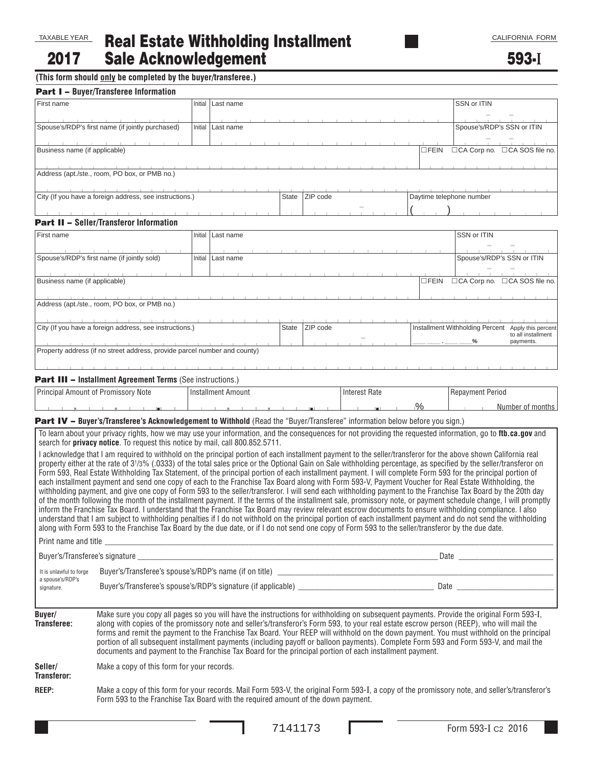Real Estate Withholding Installment Sale Acknowledgement 2017

593-**I**

**(This form should only be completed by the buyer/transferee.)**

| First name<br>Business name (if applicable)               | <b>Part I - Buyer/Transferee Information</b><br>Spouse's/RDP's first name (if jointly purchased)                                                                                                                                    |         | Initial   Last name       |  |          |                          |                                                                                            | SSN or ITIN                                                                                                                                                                                                                                                                                                                                                                                                                                                                                                                                                                                                                                                                                                                                                                                                                                                                                                                                                                                                                                                                                                                                                                                                                                                                                                                                  |  |
|-----------------------------------------------------------|-------------------------------------------------------------------------------------------------------------------------------------------------------------------------------------------------------------------------------------|---------|---------------------------|--|----------|--------------------------|--------------------------------------------------------------------------------------------|----------------------------------------------------------------------------------------------------------------------------------------------------------------------------------------------------------------------------------------------------------------------------------------------------------------------------------------------------------------------------------------------------------------------------------------------------------------------------------------------------------------------------------------------------------------------------------------------------------------------------------------------------------------------------------------------------------------------------------------------------------------------------------------------------------------------------------------------------------------------------------------------------------------------------------------------------------------------------------------------------------------------------------------------------------------------------------------------------------------------------------------------------------------------------------------------------------------------------------------------------------------------------------------------------------------------------------------------|--|
|                                                           |                                                                                                                                                                                                                                     |         |                           |  |          |                          |                                                                                            |                                                                                                                                                                                                                                                                                                                                                                                                                                                                                                                                                                                                                                                                                                                                                                                                                                                                                                                                                                                                                                                                                                                                                                                                                                                                                                                                              |  |
|                                                           |                                                                                                                                                                                                                                     |         |                           |  |          |                          |                                                                                            |                                                                                                                                                                                                                                                                                                                                                                                                                                                                                                                                                                                                                                                                                                                                                                                                                                                                                                                                                                                                                                                                                                                                                                                                                                                                                                                                              |  |
|                                                           |                                                                                                                                                                                                                                     |         | Initial   Last name       |  |          |                          |                                                                                            | Spouse's/RDP's SSN or ITIN                                                                                                                                                                                                                                                                                                                                                                                                                                                                                                                                                                                                                                                                                                                                                                                                                                                                                                                                                                                                                                                                                                                                                                                                                                                                                                                   |  |
|                                                           |                                                                                                                                                                                                                                     |         |                           |  |          |                          | $\square$ FEIN                                                                             | □CA Corp no.<br>□CA SOS file no.                                                                                                                                                                                                                                                                                                                                                                                                                                                                                                                                                                                                                                                                                                                                                                                                                                                                                                                                                                                                                                                                                                                                                                                                                                                                                                             |  |
|                                                           | Address (apt./ste., room, PO box, or PMB no.)                                                                                                                                                                                       |         |                           |  |          |                          |                                                                                            |                                                                                                                                                                                                                                                                                                                                                                                                                                                                                                                                                                                                                                                                                                                                                                                                                                                                                                                                                                                                                                                                                                                                                                                                                                                                                                                                              |  |
| City (If you have a foreign address, see instructions.)   |                                                                                                                                                                                                                                     |         |                           |  | ZIP code | Daytime telephone number |                                                                                            |                                                                                                                                                                                                                                                                                                                                                                                                                                                                                                                                                                                                                                                                                                                                                                                                                                                                                                                                                                                                                                                                                                                                                                                                                                                                                                                                              |  |
|                                                           | <b>Part II - Seller/Transferor Information</b>                                                                                                                                                                                      |         |                           |  |          |                          |                                                                                            |                                                                                                                                                                                                                                                                                                                                                                                                                                                                                                                                                                                                                                                                                                                                                                                                                                                                                                                                                                                                                                                                                                                                                                                                                                                                                                                                              |  |
| First name                                                |                                                                                                                                                                                                                                     | Initial | Last name                 |  |          |                          |                                                                                            | SSN or ITIN                                                                                                                                                                                                                                                                                                                                                                                                                                                                                                                                                                                                                                                                                                                                                                                                                                                                                                                                                                                                                                                                                                                                                                                                                                                                                                                                  |  |
|                                                           |                                                                                                                                                                                                                                     |         |                           |  |          |                          |                                                                                            |                                                                                                                                                                                                                                                                                                                                                                                                                                                                                                                                                                                                                                                                                                                                                                                                                                                                                                                                                                                                                                                                                                                                                                                                                                                                                                                                              |  |
|                                                           | Spouse's/RDP's first name (if jointly sold)                                                                                                                                                                                         | Initial | Last name                 |  |          |                          |                                                                                            | Spouse's/RDP's SSN or ITIN                                                                                                                                                                                                                                                                                                                                                                                                                                                                                                                                                                                                                                                                                                                                                                                                                                                                                                                                                                                                                                                                                                                                                                                                                                                                                                                   |  |
| Business name (if applicable)                             |                                                                                                                                                                                                                                     |         |                           |  |          |                          | $\square$ FEIN                                                                             | □CA Corp no. □CA SOS file no.                                                                                                                                                                                                                                                                                                                                                                                                                                                                                                                                                                                                                                                                                                                                                                                                                                                                                                                                                                                                                                                                                                                                                                                                                                                                                                                |  |
|                                                           | Address (apt./ste., room, PO box, or PMB no.)                                                                                                                                                                                       |         |                           |  |          |                          |                                                                                            |                                                                                                                                                                                                                                                                                                                                                                                                                                                                                                                                                                                                                                                                                                                                                                                                                                                                                                                                                                                                                                                                                                                                                                                                                                                                                                                                              |  |
| City (If you have a foreign address, see instructions.)   |                                                                                                                                                                                                                                     |         |                           |  | ZIP code |                          | Installment Withholding Percent Apply this percent<br>to all installment<br>payments.<br>% |                                                                                                                                                                                                                                                                                                                                                                                                                                                                                                                                                                                                                                                                                                                                                                                                                                                                                                                                                                                                                                                                                                                                                                                                                                                                                                                                              |  |
|                                                           | Property address (if no street address, provide parcel number and county)                                                                                                                                                           |         |                           |  |          |                          |                                                                                            |                                                                                                                                                                                                                                                                                                                                                                                                                                                                                                                                                                                                                                                                                                                                                                                                                                                                                                                                                                                                                                                                                                                                                                                                                                                                                                                                              |  |
|                                                           | <b>Part III - Installment Agreement Terms (See instructions.)</b>                                                                                                                                                                   |         |                           |  |          |                          |                                                                                            |                                                                                                                                                                                                                                                                                                                                                                                                                                                                                                                                                                                                                                                                                                                                                                                                                                                                                                                                                                                                                                                                                                                                                                                                                                                                                                                                              |  |
| Principal Amount of Promissory Note                       |                                                                                                                                                                                                                                     |         | <b>Installment Amount</b> |  |          | <b>Interest Rate</b>     |                                                                                            | Repayment Period                                                                                                                                                                                                                                                                                                                                                                                                                                                                                                                                                                                                                                                                                                                                                                                                                                                                                                                                                                                                                                                                                                                                                                                                                                                                                                                             |  |
|                                                           |                                                                                                                                                                                                                                     |         |                           |  |          |                          | $\frac{9}{6}$                                                                              | Number of months                                                                                                                                                                                                                                                                                                                                                                                                                                                                                                                                                                                                                                                                                                                                                                                                                                                                                                                                                                                                                                                                                                                                                                                                                                                                                                                             |  |
|                                                           | Part IV - Buyer's/Transferee's Acknowledgement to Withhold (Read the "Buyer/Transferee" information below before you sign.)                                                                                                         |         |                           |  |          |                          |                                                                                            | To learn about your privacy rights, how we may use your information, and the consequences for not providing the requested information, go to ftb.ca.gov and                                                                                                                                                                                                                                                                                                                                                                                                                                                                                                                                                                                                                                                                                                                                                                                                                                                                                                                                                                                                                                                                                                                                                                                  |  |
| It is unlawful to forge<br>a spouse's/RDP's<br>signature. | search for privacy notice. To request this notice by mail, call 800.852.5711.<br>along with Form 593 to the Franchise Tax Board by the due date, or if I do not send one copy of Form 593 to the seller/transferor by the due date. |         |                           |  |          |                          |                                                                                            | I acknowledge that I am required to withhold on the principal portion of each installment payment to the seller/transferor for the above shown California real<br>property either at the rate of 3 <sup>1</sup> /3% (.0333) of the total sales price or the Optional Gain on Sale withholding percentage, as specified by the seller/transferor on<br>Form 593, Real Estate Withholding Tax Statement, of the principal portion of each installment payment. I will complete Form 593 for the principal portion of<br>each installment payment and send one copy of each to the Franchise Tax Board along with Form 593-V, Payment Voucher for Real Estate Withholding, the<br>withholding payment, and give one copy of Form 593 to the seller/transferor. I will send each withholding payment to the Franchise Tax Board by the 20th day<br>of the month following the month of the installment payment. If the terms of the installment sale, promissory note, or payment schedule change, I will promptly<br>inform the Franchise Tax Board. I understand that the Franchise Tax Board may review relevant escrow documents to ensure withholding compliance. I also<br>understand that I am subject to withholding penalties if I do not withhold on the principal portion of each installment payment and do not send the withholding |  |
| Buyer/<br>Transferee:                                     |                                                                                                                                                                                                                                     |         |                           |  |          |                          |                                                                                            | Make sure you copy all pages so you will have the instructions for withholding on subsequent payments. Provide the original Form 593-I,<br>along with copies of the promissory note and seller's/transferor's Form 593, to your real estate escrow person (REEP), who will mail the                                                                                                                                                                                                                                                                                                                                                                                                                                                                                                                                                                                                                                                                                                                                                                                                                                                                                                                                                                                                                                                          |  |

forms and remit the payment to the Franchise Tax Board. Your REEP will withhold on the down payment. You must withhold on the principal portion of all subsequent installment payments (including payoff or balloon payments). Complete Form 593 and Form 593-V, and mail the documents and payment to the Franchise Tax Board for the principal portion of each installment payment.

Make a copy of this form for your records. **Seller/ Transferor:**

Make a copy of this form for your records. Mail Form 593-V, the original Form 593-I, a copy of the promissory note, and seller's/transferor's Form 593 to the Franchise Tax Board with the required amount of the down payment. **REEP:**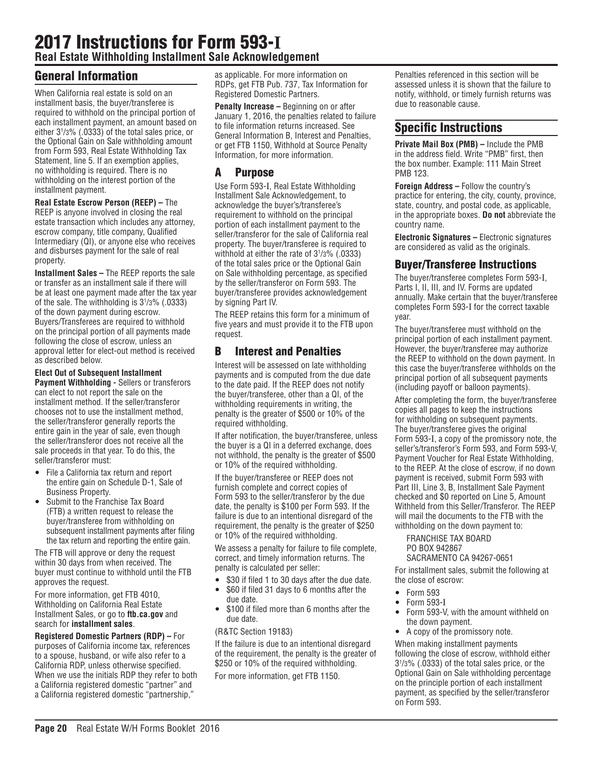# 2017 Instructions for Form 593-**I Real Estate Withholding Installment Sale Acknowledgement**

# General Information

When California real estate is sold on an installment basis, the buyer/transferee is required to withhold on the principal portion of each installment payment, an amount based on either 31 /3% (.0333) of the total sales price, or the Optional Gain on Sale withholding amount from Form 593, Real Estate Withholding Tax Statement, line 5. If an exemption applies, no withholding is required. There is no withholding on the interest portion of the installment payment.

**Real Estate Escrow Person (REEP) –** The REEP is anyone involved in closing the real estate transaction which includes any attorney, escrow company, title company, Qualified Intermediary (QI), or anyone else who receives and disburses payment for the sale of real property.

**Installment Sales –** The REEP reports the sale or transfer as an installment sale if there will be at least one payment made after the tax year of the sale. The withholding is 31 /3% (.0333) of the down payment during escrow. Buyers/Transferees are required to withhold on the principal portion of all payments made following the close of escrow, unless an approval letter for elect-out method is received as described below.

**Elect Out of Subsequent Installment Payment Withholding -** Sellers or transferors can elect to not report the sale on the installment method. If the seller/transferor chooses not to use the installment method, the seller/transferor generally reports the entire gain in the year of sale, even though the seller/transferor does not receive all the sale proceeds in that year. To do this, the seller/transferor must:

- File a California tax return and report the entire gain on Schedule D-1, Sale of Business Property.
- Submit to the Franchise Tax Board (FTB) a written request to release the buyer/transferee from withholding on subsequent installment payments after filing the tax return and reporting the entire gain.

The FTB will approve or deny the request within 30 days from when received. The buyer must continue to withhold until the FTB approves the request.

For more information, get FTB 4010, Withholding on California Real Estate Installment Sales, or go to **ftb.ca.gov** and search for **installment sales**.

**Registered Domestic Partners (RDP) –** For purposes of California income tax, references to a spouse, husband, or wife also refer to a California RDP, unless otherwise specified. When we use the initials RDP they refer to both a California registered domestic "partner" and a California registered domestic "partnership,"

as applicable. For more information on RDPs, get FTB Pub. 737, Tax Information for Registered Domestic Partners.

**Penalty Increase –** Beginning on or after January 1, 2016, the penalties related to failure to file information returns increased. See General Information B, Interest and Penalties, or get FTB 1150, Withhold at Source Penalty Information, for more information.

# A Purpose

Use Form 593-I, Real Estate Withholding Installment Sale Acknowledgement, to acknowledge the buyer's/transferee's requirement to withhold on the principal portion of each installment payment to the seller/transferor for the sale of California real property. The buyer/transferee is required to withhold at either the rate of 31 /3% (.0333) of the total sales price or the Optional Gain on Sale withholding percentage, as specified by the seller/transferor on Form 593. The buyer/transferee provides acknowledgement by signing Part IV.

The REEP retains this form for a minimum of five years and must provide it to the FTB upon request.

#### B Interest and Penalties

Interest will be assessed on late withholding payments and is computed from the due date to the date paid. If the REEP does not notify the buyer/transferee, other than a QI, of the withholding requirements in writing, the penalty is the greater of \$500 or 10% of the required withholding.

If after notification, the buyer/transferee, unless the buyer is a QI in a deferred exchange, does not withhold, the penalty is the greater of \$500 or 10% of the required withholding.

If the buyer/transferee or REEP does not furnish complete and correct copies of Form 593 to the seller/transferor by the due date, the penalty is \$100 per Form 593. If the failure is due to an intentional disregard of the requirement, the penalty is the greater of \$250 or 10% of the required withholding.

We assess a penalty for failure to file complete, correct, and timely information returns. The penalty is calculated per seller:

- \$30 if filed 1 to 30 days after the due date.
- \$60 if filed 31 days to 6 months after the due date.
- \$100 if filed more than 6 months after the due date.

#### (R&TC Section 19183)

If the failure is due to an intentional disregard of the requirement, the penalty is the greater of \$250 or 10% of the required withholding. For more information, get FTB 1150.

Penalties referenced in this section will be assessed unless it is shown that the failure to notify, withhold, or timely furnish returns was due to reasonable cause.

### Specific Instructions

**Private Mail Box (PMB) –** Include the PMB in the address field. Write "PMB" first, then the box number. Example: 111 Main Street PMB 123.

**Foreign Address –** Follow the country's practice for entering, the city, county, province, state, country, and postal code, as applicable, in the appropriate boxes. **Do not** abbreviate the country name.

**Electronic Signatures –** Electronic signatures are considered as valid as the originals.

#### Buyer/Transferee Instructions

The buyer/transferee completes Form 593-I, Parts I, II, III, and IV. Forms are updated annually. Make certain that the buyer/transferee completes Form 593-I for the correct taxable year.

The buyer/transferee must withhold on the principal portion of each installment payment. However, the buyer/transferee may authorize the REEP to withhold on the down payment. In this case the buyer/transferee withholds on the principal portion of all subsequent payments (including payoff or balloon payments).

After completing the form, the buyer/transferee copies all pages to keep the instructions for withholding on subsequent payments. The buyer/transferee gives the original Form 593-I, a copy of the promissory note, the seller's/transferor's Form 593, and Form 593-V, Payment Voucher for Real Estate Withholding, to the REEP. At the close of escrow, if no down payment is received, submit Form 593 with Part III, Line 3, B, Installment Sale Payment checked and \$0 reported on Line 5, Amount Withheld from this Seller/Transferor. The REEP will mail the documents to the FTB with the withholding on the down payment to:

FRANCHISE TAX BOARD PO BOX 942867 SACRAMENTO CA 94267-0651

For installment sales, submit the following at the close of escrow:

- Form 593
- $\bullet$  Form 593-I
- Form 593-V, with the amount withheld on the down payment.
- A copy of the promissory note.

When making installment payments following the close of escrow, withhold either 31 /3% (.0333) of the total sales price, or the Optional Gain on Sale withholding percentage on the principle portion of each installment payment, as specified by the seller/transferor on Form 593.